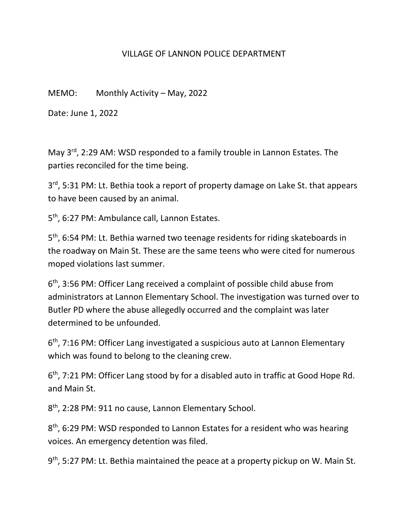## VILLAGE OF LANNON POLICE DEPARTMENT

MEMO: Monthly Activity – May, 2022

Date: June 1, 2022

May 3<sup>rd</sup>, 2:29 AM: WSD responded to a family trouble in Lannon Estates. The parties reconciled for the time being.

3<sup>rd</sup>, 5:31 PM: Lt. Bethia took a report of property damage on Lake St. that appears to have been caused by an animal.

5<sup>th</sup>, 6:27 PM: Ambulance call, Lannon Estates.

5<sup>th</sup>, 6:54 PM: Lt. Bethia warned two teenage residents for riding skateboards in the roadway on Main St. These are the same teens who were cited for numerous moped violations last summer.

6<sup>th</sup>, 3:56 PM: Officer Lang received a complaint of possible child abuse from administrators at Lannon Elementary School. The investigation was turned over to Butler PD where the abuse allegedly occurred and the complaint was later determined to be unfounded.

6<sup>th</sup>, 7:16 PM: Officer Lang investigated a suspicious auto at Lannon Elementary which was found to belong to the cleaning crew.

6<sup>th</sup>, 7:21 PM: Officer Lang stood by for a disabled auto in traffic at Good Hope Rd. and Main St.

8<sup>th</sup>, 2:28 PM: 911 no cause, Lannon Elementary School.

8<sup>th</sup>, 6:29 PM: WSD responded to Lannon Estates for a resident who was hearing voices. An emergency detention was filed.

9<sup>th</sup>, 5:27 PM: Lt. Bethia maintained the peace at a property pickup on W. Main St.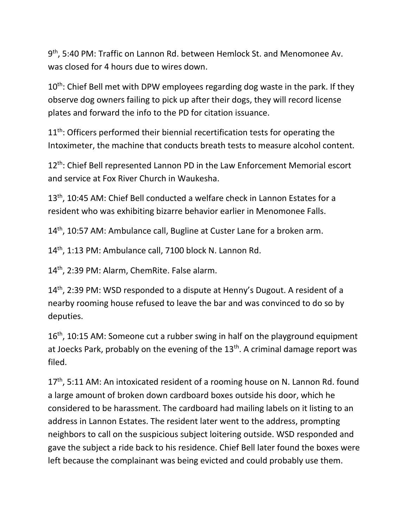9<sup>th</sup>, 5:40 PM: Traffic on Lannon Rd. between Hemlock St. and Menomonee Av. was closed for 4 hours due to wires down.

10<sup>th</sup>: Chief Bell met with DPW employees regarding dog waste in the park. If they observe dog owners failing to pick up after their dogs, they will record license plates and forward the info to the PD for citation issuance.

11<sup>th</sup>: Officers performed their biennial recertification tests for operating the Intoximeter, the machine that conducts breath tests to measure alcohol content.

12<sup>th</sup>: Chief Bell represented Lannon PD in the Law Enforcement Memorial escort and service at Fox River Church in Waukesha.

13<sup>th</sup>, 10:45 AM: Chief Bell conducted a welfare check in Lannon Estates for a resident who was exhibiting bizarre behavior earlier in Menomonee Falls.

14<sup>th</sup>, 10:57 AM: Ambulance call, Bugline at Custer Lane for a broken arm.

14th, 1:13 PM: Ambulance call, 7100 block N. Lannon Rd.

14<sup>th</sup>, 2:39 PM: Alarm, ChemRite. False alarm.

14<sup>th</sup>, 2:39 PM: WSD responded to a dispute at Henny's Dugout. A resident of a nearby rooming house refused to leave the bar and was convinced to do so by deputies.

 $16<sup>th</sup>$ , 10:15 AM: Someone cut a rubber swing in half on the playground equipment at Joecks Park, probably on the evening of the 13<sup>th</sup>. A criminal damage report was filed.

17<sup>th</sup>, 5:11 AM: An intoxicated resident of a rooming house on N. Lannon Rd. found a large amount of broken down cardboard boxes outside his door, which he considered to be harassment. The cardboard had mailing labels on it listing to an address in Lannon Estates. The resident later went to the address, prompting neighbors to call on the suspicious subject loitering outside. WSD responded and gave the subject a ride back to his residence. Chief Bell later found the boxes were left because the complainant was being evicted and could probably use them.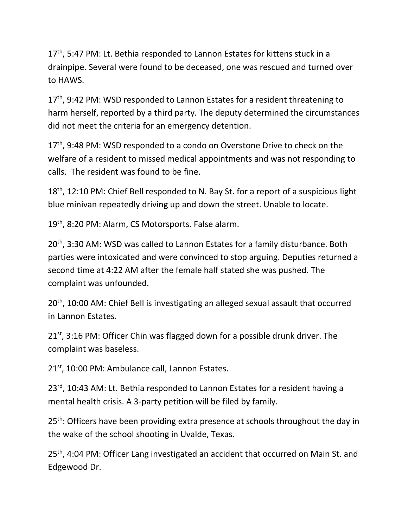17<sup>th</sup>, 5:47 PM: Lt. Bethia responded to Lannon Estates for kittens stuck in a drainpipe. Several were found to be deceased, one was rescued and turned over to HAWS.

17<sup>th</sup>, 9:42 PM: WSD responded to Lannon Estates for a resident threatening to harm herself, reported by a third party. The deputy determined the circumstances did not meet the criteria for an emergency detention.

17<sup>th</sup>, 9:48 PM: WSD responded to a condo on Overstone Drive to check on the welfare of a resident to missed medical appointments and was not responding to calls. The resident was found to be fine.

18<sup>th</sup>, 12:10 PM: Chief Bell responded to N. Bay St. for a report of a suspicious light blue minivan repeatedly driving up and down the street. Unable to locate.

19<sup>th</sup>, 8:20 PM: Alarm, CS Motorsports. False alarm.

20<sup>th</sup>, 3:30 AM: WSD was called to Lannon Estates for a family disturbance. Both parties were intoxicated and were convinced to stop arguing. Deputies returned a second time at 4:22 AM after the female half stated she was pushed. The complaint was unfounded.

20<sup>th</sup>, 10:00 AM: Chief Bell is investigating an alleged sexual assault that occurred in Lannon Estates.

21<sup>st</sup>, 3:16 PM: Officer Chin was flagged down for a possible drunk driver. The complaint was baseless.

21<sup>st</sup>, 10:00 PM: Ambulance call, Lannon Estates.

23<sup>rd</sup>, 10:43 AM: Lt. Bethia responded to Lannon Estates for a resident having a mental health crisis. A 3-party petition will be filed by family.

25<sup>th</sup>: Officers have been providing extra presence at schools throughout the day in the wake of the school shooting in Uvalde, Texas.

25<sup>th</sup>, 4:04 PM: Officer Lang investigated an accident that occurred on Main St. and Edgewood Dr.